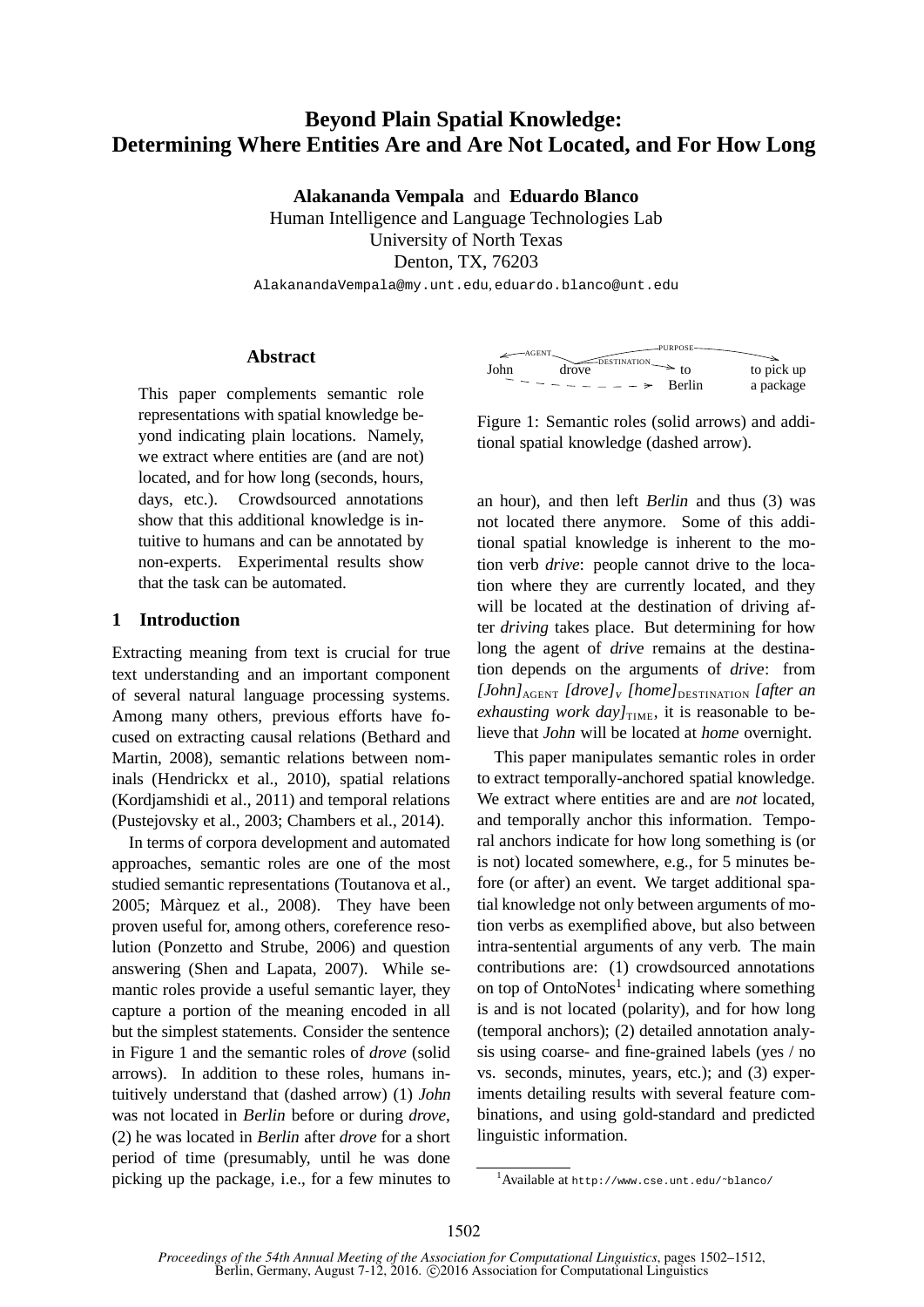# **Beyond Plain Spatial Knowledge: Determining Where Entities Are and Are Not Located, and For How Long**

**Alakananda Vempala** and **Eduardo Blanco** Human Intelligence and Language Technologies Lab

University of North Texas

Denton, TX, 76203

AlakanandaVempala@my.unt.edu, eduardo.blanco@unt.edu

#### **Abstract**

This paper complements semantic role representations with spatial knowledge beyond indicating plain locations. Namely, we extract where entities are (and are not) located, and for how long (seconds, hours, days, etc.). Crowdsourced annotations show that this additional knowledge is intuitive to humans and can be annotated by non-experts. Experimental results show that the task can be automated.

### **1 Introduction**

Extracting meaning from text is crucial for true text understanding and an important component of several natural language processing systems. Among many others, previous efforts have focused on extracting causal relations (Bethard and Martin, 2008), semantic relations between nominals (Hendrickx et al., 2010), spatial relations (Kordjamshidi et al., 2011) and temporal relations (Pustejovsky et al., 2003; Chambers et al., 2014).

In terms of corpora development and automated approaches, semantic roles are one of the most studied semantic representations (Toutanova et al., 2005; Màrquez et al., 2008). They have been proven useful for, among others, coreference resolution (Ponzetto and Strube, 2006) and question answering (Shen and Lapata, 2007). While semantic roles provide a useful semantic layer, they capture a portion of the meaning encoded in all but the simplest statements. Consider the sentence in Figure 1 and the semantic roles of *drove* (solid arrows). In addition to these roles, humans intuitively understand that (dashed arrow) (1) John was not located in Berlin before or during *drove*, (2) he was located in Berlin after *drove* for a short period of time (presumably, until he was done picking up the package, i.e., for a few minutes to



Figure 1: Semantic roles (solid arrows) and additional spatial knowledge (dashed arrow).

an hour), and then left Berlin and thus (3) was not located there anymore. Some of this additional spatial knowledge is inherent to the motion verb *drive*: people cannot drive to the location where they are currently located, and they will be located at the destination of driving after *driving* takes place. But determining for how long the agent of drive remains at the destination depends on the arguments of drive: from *[John]*AGENT *[drove]*<sup>v</sup> *[home]*DESTINATION *[after an exhausting work day* $J_{\text{TIME}}$ , it is reasonable to believe that John will be located at home overnight.

This paper manipulates semantic roles in order to extract temporally-anchored spatial knowledge. We extract where entities are and are *not* located, and temporally anchor this information. Temporal anchors indicate for how long something is (or is not) located somewhere, e.g., for 5 minutes before (or after) an event. We target additional spatial knowledge not only between arguments of motion verbs as exemplified above, but also between intra-sentential arguments of any verb. The main contributions are: (1) crowdsourced annotations on top of OntoNotes<sup>1</sup> indicating where something is and is not located (polarity), and for how long (temporal anchors); (2) detailed annotation analysis using coarse- and fine-grained labels (yes / no vs. seconds, minutes, years, etc.); and (3) experiments detailing results with several feature combinations, and using gold-standard and predicted linguistic information.

<sup>1</sup>Available at http://www.cse.unt.edu/˜blanco/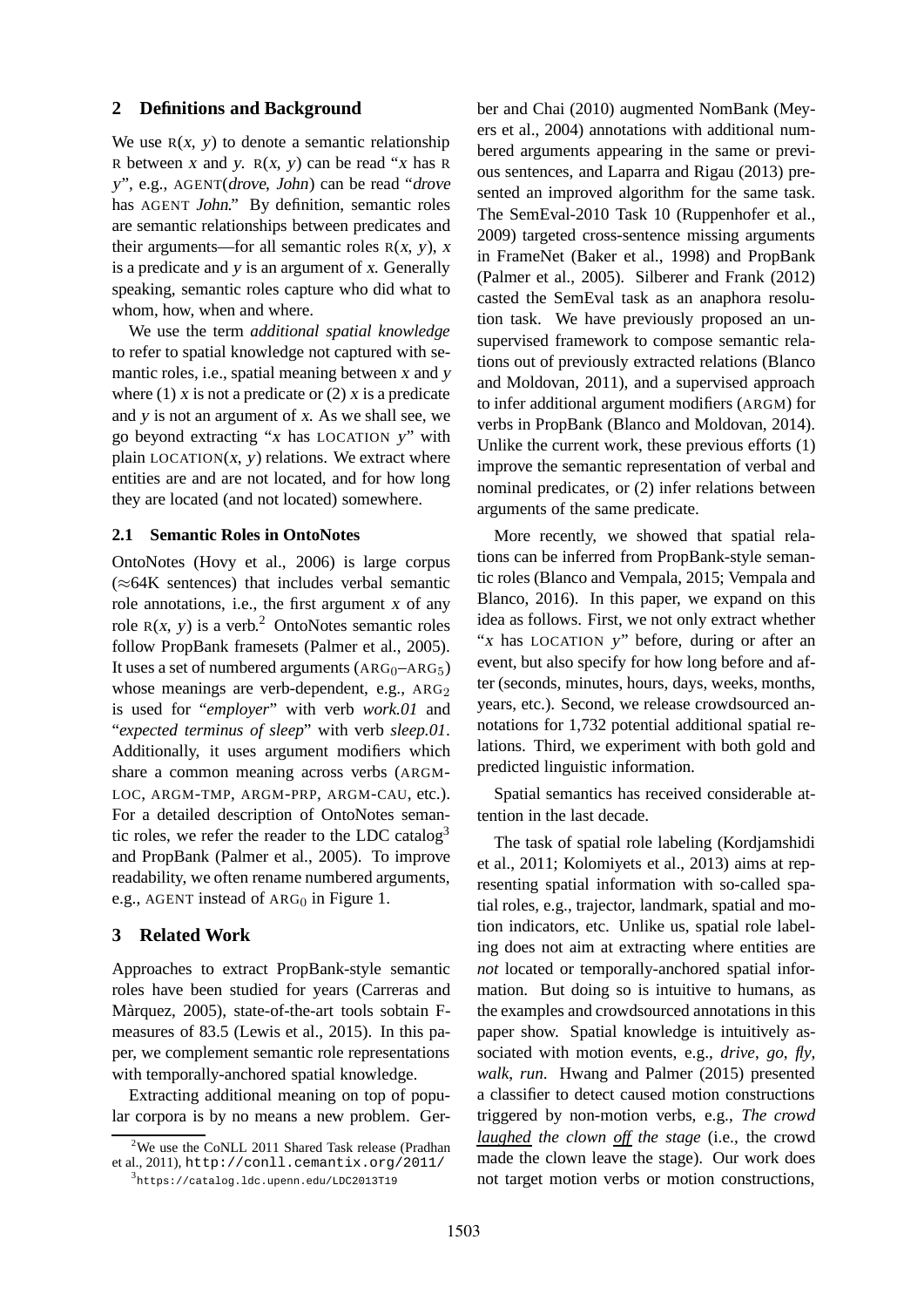# **2 Definitions and Background**

We use  $R(x, y)$  to denote a semantic relationship R between x and y.  $R(x, y)$  can be read "x has R <sup>y</sup>", e.g., AGENT(drove, John) can be read "drove has AGENT John." By definition, semantic roles are semantic relationships between predicates and their arguments—for all semantic roles  $R(x, y)$ , x is a predicate and <sup>y</sup> is an argument of <sup>x</sup>. Generally speaking, semantic roles capture who did what to whom, how, when and where.

We use the term *additional spatial knowledge* to refer to spatial knowledge not captured with semantic roles, i.e., spatial meaning between <sup>x</sup> and <sup>y</sup> where (1) x is not a predicate or (2) x is a predicate and <sup>y</sup> is not an argument of <sup>x</sup>. As we shall see, we go beyond extracting "<sup>x</sup> has LOCATION <sup>y</sup>" with plain  $LOCATION(x, y)$  relations. We extract where entities are and are not located, and for how long they are located (and not located) somewhere.

#### **2.1 Semantic Roles in OntoNotes**

OntoNotes (Hovy et al., 2006) is large corpus (≈64K sentences) that includes verbal semantic role annotations, i.e., the first argument <sup>x</sup> of any role  $R(x, y)$  is a verb.<sup>2</sup> OntoNotes semantic roles follow PropBank framesets (Palmer et al., 2005). It uses a set of numbered arguments  $(ARG_0-ARG_5)$ whose meanings are verb-dependent, e.g.,  $ARG<sub>2</sub>$ is used for "*employer*" with verb *work.01* and "*expected terminus of sleep*" with verb *sleep.01*. Additionally, it uses argument modifiers which share a common meaning across verbs (ARGM-LOC, ARGM-TMP, ARGM-PRP, ARGM-CAU, etc.). For a detailed description of OntoNotes semantic roles, we refer the reader to the LDC catalog<sup>3</sup> and PropBank (Palmer et al., 2005). To improve readability, we often rename numbered arguments, e.g., AGENT instead of  $ARG<sub>0</sub>$  in Figure 1.

#### **3 Related Work**

Approaches to extract PropBank-style semantic roles have been studied for years (Carreras and Màrquez, 2005), state-of-the-art tools sobtain Fmeasures of 83.5 (Lewis et al., 2015). In this paper, we complement semantic role representations with temporally-anchored spatial knowledge.

Extracting additional meaning on top of popular corpora is by no means a new problem. Gerber and Chai (2010) augmented NomBank (Meyers et al., 2004) annotations with additional numbered arguments appearing in the same or previous sentences, and Laparra and Rigau (2013) presented an improved algorithm for the same task. The SemEval-2010 Task 10 (Ruppenhofer et al., 2009) targeted cross-sentence missing arguments in FrameNet (Baker et al., 1998) and PropBank (Palmer et al., 2005). Silberer and Frank (2012) casted the SemEval task as an anaphora resolution task. We have previously proposed an unsupervised framework to compose semantic relations out of previously extracted relations (Blanco and Moldovan, 2011), and a supervised approach to infer additional argument modifiers (ARGM) for verbs in PropBank (Blanco and Moldovan, 2014). Unlike the current work, these previous efforts (1) improve the semantic representation of verbal and nominal predicates, or (2) infer relations between arguments of the same predicate.

More recently, we showed that spatial relations can be inferred from PropBank-style semantic roles (Blanco and Vempala, 2015; Vempala and Blanco, 2016). In this paper, we expand on this idea as follows. First, we not only extract whether "x has LOCATION y" before, during or after an event, but also specify for how long before and after (seconds, minutes, hours, days, weeks, months, years, etc.). Second, we release crowdsourced annotations for 1,732 potential additional spatial relations. Third, we experiment with both gold and predicted linguistic information.

Spatial semantics has received considerable attention in the last decade.

The task of spatial role labeling (Kordjamshidi et al., 2011; Kolomiyets et al., 2013) aims at representing spatial information with so-called spatial roles, e.g., trajector, landmark, spatial and motion indicators, etc. Unlike us, spatial role labeling does not aim at extracting where entities are *not* located or temporally-anchored spatial information. But doing so is intuitive to humans, as the examples and crowdsourced annotations in this paper show. Spatial knowledge is intuitively associated with motion events, e.g., *drive*, *go*, *fly*, *walk*, *run*. Hwang and Palmer (2015) presented a classifier to detect caused motion constructions triggered by non-motion verbs, e.g., *The crowd laughed the clown off the stage* (i.e., the crowd made the clown leave the stage). Our work does not target motion verbs or motion constructions,

 $2$ We use the CoNLL 2011 Shared Task release (Pradhan et al., 2011), http://conll.cemantix.org/2011/

<sup>3</sup> https://catalog.ldc.upenn.edu/LDC2013T19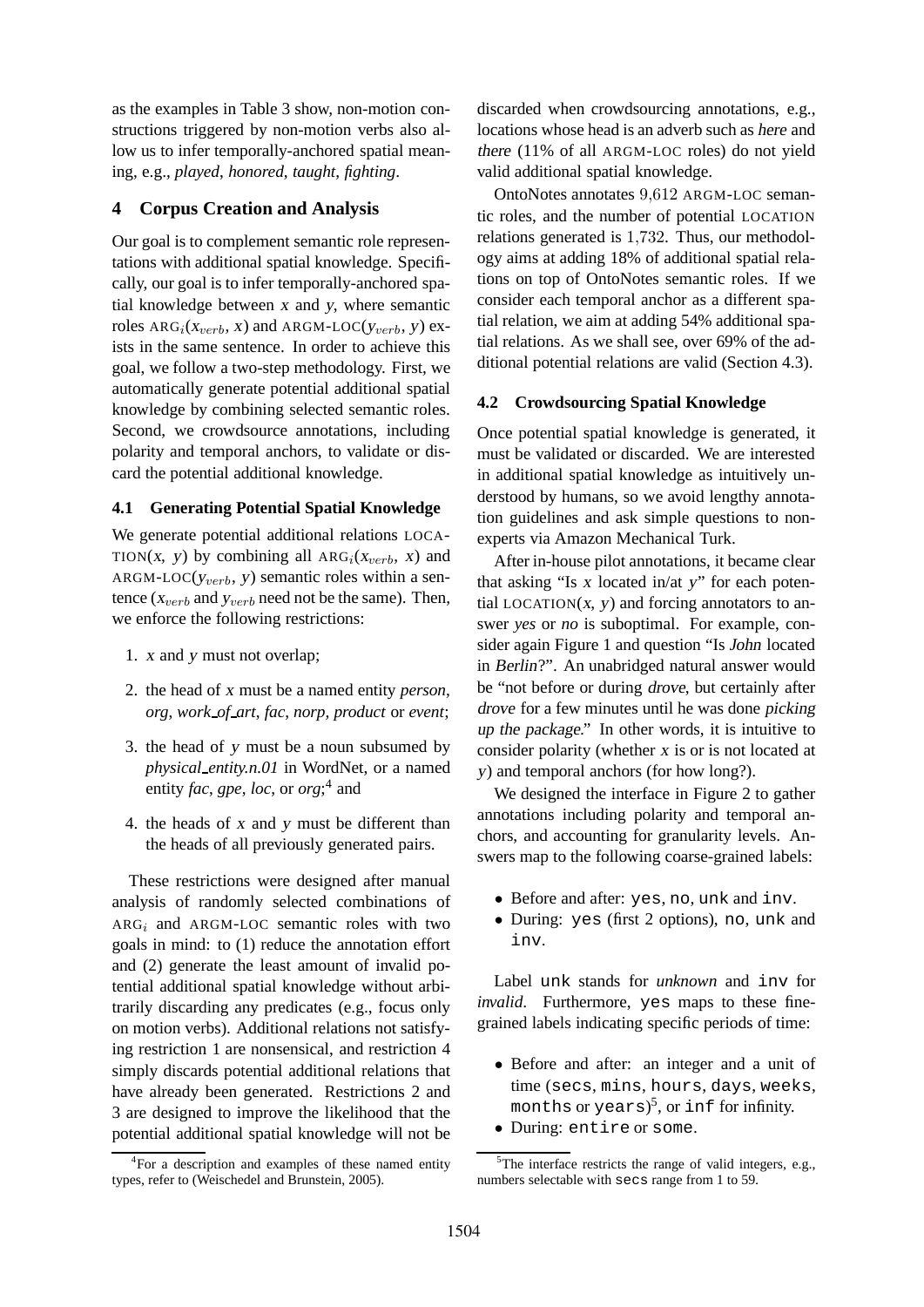as the examples in Table 3 show, non-motion constructions triggered by non-motion verbs also allow us to infer temporally-anchored spatial meaning, e.g., *played*, *honored*, *taught*, *fighting*.

# **4 Corpus Creation and Analysis**

Our goal is to complement semantic role representations with additional spatial knowledge. Specifically, our goal is to infer temporally-anchored spatial knowledge between <sup>x</sup> and <sup>y</sup>, where semantic roles  $\text{ARG}_i(x_{verb}, x)$  and  $\text{ARGM-LOC}(y_{verb}, y)$  exists in the same sentence. In order to achieve this goal, we follow a two-step methodology. First, we automatically generate potential additional spatial knowledge by combining selected semantic roles. Second, we crowdsource annotations, including polarity and temporal anchors, to validate or discard the potential additional knowledge.

### **4.1 Generating Potential Spatial Knowledge**

We generate potential additional relations LOCA-TION(x, y) by combining all  $ARG<sub>i</sub>(x<sub>verb</sub>, x)$  and  $ARGM\text{-}LOC(y_{verb}, y)$  semantic roles within a sentence ( $x_{verb}$  and  $y_{verb}$  need not be the same). Then, we enforce the following restrictions:

- 1. <sup>x</sup> and <sup>y</sup> must not overlap;
- 2. the head of <sup>x</sup> must be a named entity *person*, *org*, *work of art*, *fac*, *norp*, *product* or *event*;
- 3. the head of <sup>y</sup> must be a noun subsumed by *physical entity.n.01* in WordNet, or a named entity *fac*, *gpe*, *loc*, or *org*; 4 and
- 4. the heads of <sup>x</sup> and <sup>y</sup> must be different than the heads of all previously generated pairs.

These restrictions were designed after manual analysis of randomly selected combinations of  $ARG<sub>i</sub>$  and ARGM-LOC semantic roles with two goals in mind: to (1) reduce the annotation effort and (2) generate the least amount of invalid potential additional spatial knowledge without arbitrarily discarding any predicates (e.g., focus only on motion verbs). Additional relations not satisfying restriction 1 are nonsensical, and restriction 4 simply discards potential additional relations that have already been generated. Restrictions 2 and 3 are designed to improve the likelihood that the potential additional spatial knowledge will not be discarded when crowdsourcing annotations, e.g., locations whose head is an adverb such as here and there (11% of all ARGM-LOC roles) do not yield valid additional spatial knowledge.

OntoNotes annotates 9,612 ARGM-LOC semantic roles, and the number of potential LOCATION relations generated is 1,732. Thus, our methodology aims at adding 18% of additional spatial relations on top of OntoNotes semantic roles. If we consider each temporal anchor as a different spatial relation, we aim at adding 54% additional spatial relations. As we shall see, over 69% of the additional potential relations are valid (Section 4.3).

# **4.2 Crowdsourcing Spatial Knowledge**

Once potential spatial knowledge is generated, it must be validated or discarded. We are interested in additional spatial knowledge as intuitively understood by humans, so we avoid lengthy annotation guidelines and ask simple questions to nonexperts via Amazon Mechanical Turk.

After in-house pilot annotations, it became clear that asking "Is  $x$  located in/at  $y$ " for each potential LOCATION $(x, y)$  and forcing annotators to answer *yes* or *no* is suboptimal. For example, consider again Figure 1 and question "Is John located in Berlin?". An unabridged natural answer would be "not before or during drove, but certainly after drove for a few minutes until he was done picking up the package." In other words, it is intuitive to consider polarity (whether <sup>x</sup> is or is not located at <sup>y</sup>) and temporal anchors (for how long?).

We designed the interface in Figure 2 to gather annotations including polarity and temporal anchors, and accounting for granularity levels. Answers map to the following coarse-grained labels:

- Before and after: yes, no, unk and inv.
- During: yes (first 2 options), no, unk and inv.

Label unk stands for *unknown* and inv for *invalid*. Furthermore, yes maps to these finegrained labels indicating specific periods of time:

- Before and after: an integer and a unit of time (secs, mins, hours, days, weeks, months or years) $^5$ , or inf for infinity.
- During: entire or some.

<sup>&</sup>lt;sup>4</sup>For a description and examples of these named entity types, refer to (Weischedel and Brunstein, 2005).

 $5$ The interface restricts the range of valid integers, e.g., numbers selectable with secs range from 1 to 59.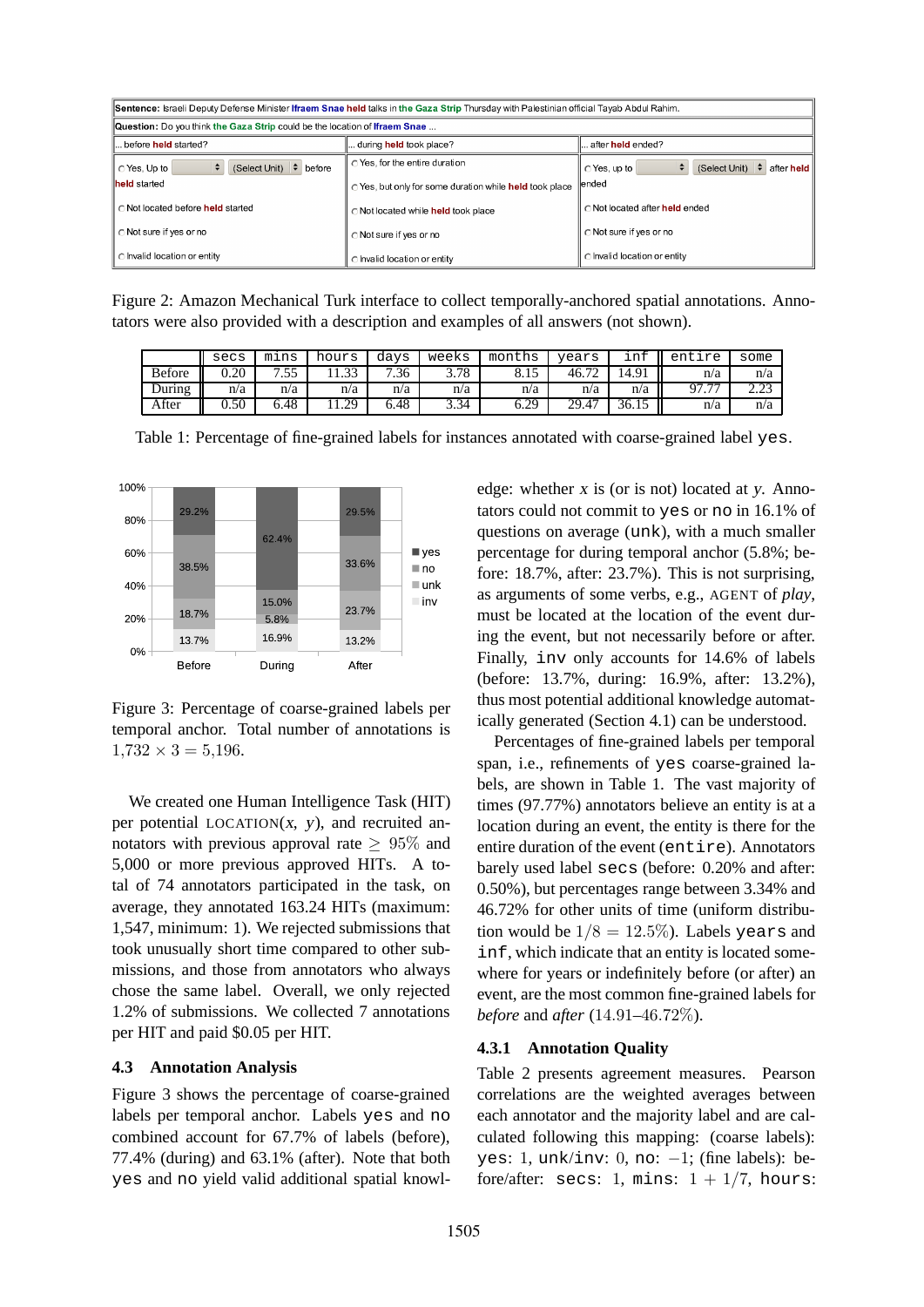| Sentence: Israeli Deputy Defense Minister Ifraem Snae held talks in the Gaza Strip Thursday with Palestinian official Tayab Abdul Rahim. |                                                         |                                                      |  |  |  |  |  |  |  |
|------------------------------------------------------------------------------------------------------------------------------------------|---------------------------------------------------------|------------------------------------------------------|--|--|--|--|--|--|--|
| Question: Do you think the Gaza Strip could be the location of Ifraem Snae                                                               |                                                         |                                                      |  |  |  |  |  |  |  |
| before held started?                                                                                                                     | during <b>held</b> took place?                          | after <b>held</b> ended?                             |  |  |  |  |  |  |  |
| (Select Unit) $\div$ before<br>○ Yes, Up to                                                                                              | O Yes, for the entire duration                          | ÷<br>(Select Unit) $\div$ after held<br>○ Yes. up to |  |  |  |  |  |  |  |
| <b>lheld</b> started                                                                                                                     | ○ Yes, but only for some duration while held took place | lended                                               |  |  |  |  |  |  |  |
| ∩Not located before held started                                                                                                         | o Not located while held took place                     | C Not located after held ended                       |  |  |  |  |  |  |  |
| ◯ Not sure if yes or no                                                                                                                  | ○ Not sure if yes or no                                 | ◯ Not sure if yes or no                              |  |  |  |  |  |  |  |
| C Invalid location or entity                                                                                                             | c Invalid location or entity                            | C Invalid location or entity                         |  |  |  |  |  |  |  |

Figure 2: Amazon Mechanical Turk interface to collect temporally-anchored spatial annotations. Annotators were also provided with a description and examples of all answers (not shown).

|               | secs | mins            | hours      | davs                            | weeks | months | vears | ınt   | entire                   | some    |
|---------------|------|-----------------|------------|---------------------------------|-------|--------|-------|-------|--------------------------|---------|
| <b>Before</b> | 0.20 | 55<br>-<br>ر. ب |            | .36<br>$\overline{\phantom{a}}$ | 3.78  | 0.12   | 46.7  | 14.91 | n/a                      | n/a     |
| During        | n/a  | n/a             | n/a        | n/a                             | n/a   | n/a    | n/a   | n/a   | $\overline{\phantom{m}}$ | ر ے . ب |
| After         | 0.50 | 6.48            | ാവ<br>رے د | 6.48                            | 3.34  | 6.29   | 29.47 | 36.15 | n/a                      | n/a     |

Table 1: Percentage of fine-grained labels for instances annotated with coarse-grained label yes.



Figure 3: Percentage of coarse-grained labels per temporal anchor. Total number of annotations is  $1,732 \times 3 = 5,196.$ 

We created one Human Intelligence Task (HIT) per potential  $LOGATION(x, y)$ , and recruited annotators with previous approval rate  $> 95\%$  and 5,000 or more previous approved HITs. A total of 74 annotators participated in the task, on average, they annotated 163.24 HITs (maximum: 1,547, minimum: 1). We rejected submissions that took unusually short time compared to other submissions, and those from annotators who always chose the same label. Overall, we only rejected 1.2% of submissions. We collected 7 annotations per HIT and paid \$0.05 per HIT.

### **4.3 Annotation Analysis**

Figure 3 shows the percentage of coarse-grained labels per temporal anchor. Labels yes and no combined account for 67.7% of labels (before), 77.4% (during) and 63.1% (after). Note that both yes and no yield valid additional spatial knowledge: whether <sup>x</sup> is (or is not) located at <sup>y</sup>. Annotators could not commit to yes or no in 16.1% of questions on average (unk), with a much smaller percentage for during temporal anchor (5.8%; before: 18.7%, after: 23.7%). This is not surprising, as arguments of some verbs, e.g., AGENT of *play*, must be located at the location of the event during the event, but not necessarily before or after. Finally, inv only accounts for 14.6% of labels (before: 13.7%, during: 16.9%, after: 13.2%), thus most potential additional knowledge automatically generated (Section 4.1) can be understood.

Percentages of fine-grained labels per temporal span, i.e., refinements of yes coarse-grained labels, are shown in Table 1. The vast majority of times (97.77%) annotators believe an entity is at a location during an event, the entity is there for the entire duration of the event (entire). Annotators barely used label secs (before: 0.20% and after: 0.50%), but percentages range between 3.34% and 46.72% for other units of time (uniform distribution would be  $1/8 = 12.5\%$ ). Labels years and inf, which indicate that an entity is located somewhere for years or indefinitely before (or after) an event, are the most common fine-grained labels for *before* and *after* (14.91–46.72%).

#### **4.3.1 Annotation Quality**

Table 2 presents agreement measures. Pearson correlations are the weighted averages between each annotator and the majority label and are calculated following this mapping: (coarse labels): yes: 1, unk/inv:  $0$ , no:  $-1$ ; (fine labels): before/after: secs: 1, mins:  $1 + 1/7$ , hours: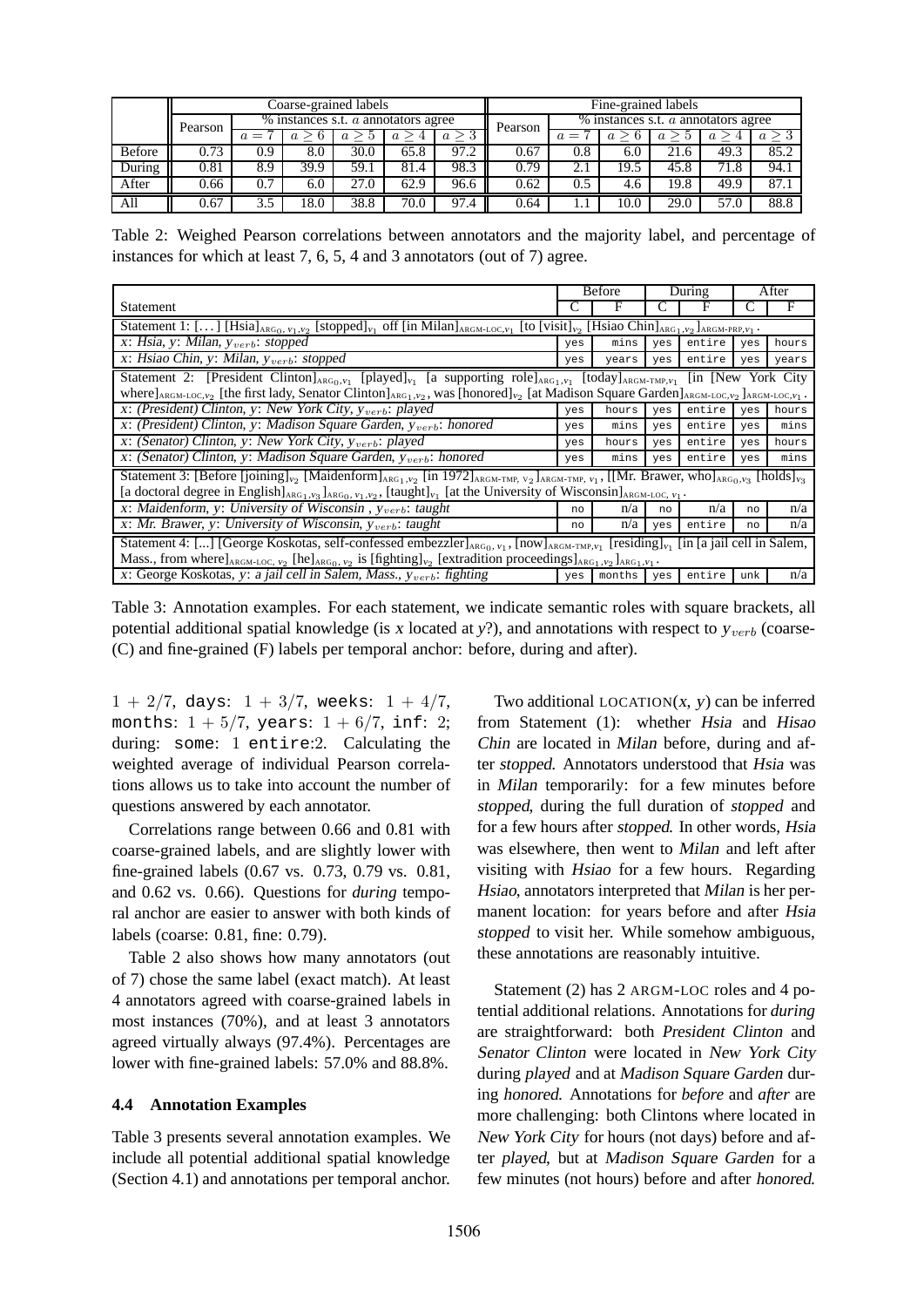|        |         |       |      | Coarse-grained labels                   |      | Fine-grained labels |         |                                         |      |      |      |                  |  |  |
|--------|---------|-------|------|-----------------------------------------|------|---------------------|---------|-----------------------------------------|------|------|------|------------------|--|--|
|        | Pearson |       |      | $%$ instances s.t. $a$ annotators agree |      |                     | Pearson | $%$ instances s.t. $a$ annotators agree |      |      |      |                  |  |  |
|        |         | $a =$ |      |                                         |      | $a \geq 3$          |         | $a =$                                   |      |      |      | $\boldsymbol{a}$ |  |  |
| Before | 0.73    | 0.9   | 8.0  | 30.0                                    | 65.8 | 97.2                | 0.67    | 0.8                                     | 6.0  | 21.6 | 49.3 | 85.2             |  |  |
| During | 0.81    | 8.9   | 39.9 | 59.1                                    | 81.4 | 98.3                | 0.79    | 2.1                                     | 19.5 | 45.8 | 71.8 | 94.1             |  |  |
| After  | 0.66    | 0.7   | 6.0  | 27.0                                    | 62.9 | 96.6                | 0.62    | 0.5                                     | 4.6  | 19.8 | 49.9 | 87.1             |  |  |
| All    | 0.67    | 3.5   | 18.0 | 38.8                                    | 70.0 | 97.4                | 0.64    |                                         | 10.0 | 29.0 | 57.0 | 88.8             |  |  |

Table 2: Weighed Pearson correlations between annotators and the majority label, and percentage of instances for which at least 7, 6, 5, 4 and 3 annotators (out of 7) agree.

|                                                                                                                                                                                                                                                    |                                                                                                                                                                                            | <b>Before</b> |     | During              | After |       |  |  |  |  |
|----------------------------------------------------------------------------------------------------------------------------------------------------------------------------------------------------------------------------------------------------|--------------------------------------------------------------------------------------------------------------------------------------------------------------------------------------------|---------------|-----|---------------------|-------|-------|--|--|--|--|
| Statement                                                                                                                                                                                                                                          |                                                                                                                                                                                            |               |     |                     |       | F     |  |  |  |  |
| Statement 1: [] [Hsia] <sub>ARG0</sub> , $v_1, v_2$ [stopped] $v_1$ off [in Milan] <sub>ARGM-LOC,<math>v_1</math></sub> [to [visit] $v_2$ [Hsiao Chin] <sub>ARG1</sub> , $v_2$ ] <sub>ARGM-PRP,<math>v_1</math></sub> .                            |                                                                                                                                                                                            |               |     |                     |       |       |  |  |  |  |
| x: Hsia, y: Milan, $y_{verb}$ : stopped                                                                                                                                                                                                            | yes                                                                                                                                                                                        | mins          | yes | entire              | yes   | hours |  |  |  |  |
| x: Hsiao Chin, y: Milan, $y_{verb}$ : stopped                                                                                                                                                                                                      | yes                                                                                                                                                                                        | years         | yes | entire              | yes   | years |  |  |  |  |
| Statement 2: [President Clinton] $_{ABG_0, v_1}$ [played] <sub>v<sub>1</sub></sub> [a supporting role] $_{ABG_1, v_1}$ [today] $_{ABGM-TMP, v_1}$                                                                                                  |                                                                                                                                                                                            |               |     | [in [New York City] |       |       |  |  |  |  |
| where $]$ <sub>ARGM-LOC, <math>v_2</math></sub> [the first lady, Senator Clinton] <sub>ARG1,</sub> $v_2$ , was [honored] $v_2$ [at Madison Square Garden] <sub>ARGM-LOC, <math>v_2</math></sub> ] <sub>ARGM-LOC, <math>v_1</math>.</sub>           |                                                                                                                                                                                            |               |     |                     |       |       |  |  |  |  |
| x: (President) Clinton, y: New York City, $y_{verb}$ : played                                                                                                                                                                                      | yes                                                                                                                                                                                        | hours         | yes | entire              | yes   | hours |  |  |  |  |
| x: (President) Clinton, y: Madison Square Garden, $y_{vert}$ : honored                                                                                                                                                                             | yes                                                                                                                                                                                        | mins          | yes | entire              | yes   | mins  |  |  |  |  |
| x: (Senator) Clinton, y: New York City, $y_{verb}$ : played                                                                                                                                                                                        | yes                                                                                                                                                                                        | hours         | yes | entire              | yes   | hours |  |  |  |  |
| x: (Senator) Clinton, y: Madison Square Garden, $y_{verb}$ : honored                                                                                                                                                                               | yes                                                                                                                                                                                        | mins          | yes | entire              | yes   | mins  |  |  |  |  |
| Statement 3: [Before [joining] <sub>v2</sub> [Maidenform] <sub>ARG1</sub> , v <sub>2</sub> [in 1972] <sub>ARGM-TMP, v<sub>2</sub> ]<sub>ARGM-TMP, v<sub>1</sub></sub>, [[Mr. Brawer, who]<sub>ARG0</sub>, v<sub>3</sub> [holds]<sub>v3</sub></sub> |                                                                                                                                                                                            |               |     |                     |       |       |  |  |  |  |
| [a doctoral degree in English] <sub>ARG1</sub> , v <sub>3</sub> ] <sub>ARG0</sub> , v <sub>1</sub> , v <sub>2</sub> , [taught] v <sub>1</sub> [at the University of Wisconsin] <sub>ARGM-LOC</sub> , v <sub>1</sub> .                              |                                                                                                                                                                                            |               |     |                     |       |       |  |  |  |  |
| x: Maidenform, y: University of Wisconsin, $y_{verb}$ : taught                                                                                                                                                                                     | no                                                                                                                                                                                         | n/a           | no  | n/a                 | no    | n/a   |  |  |  |  |
| x: Mr. Brawer, y: University of Wisconsin, $y_{verb}$ : taught                                                                                                                                                                                     | no                                                                                                                                                                                         | n/a           | yes | entire              | no    | n/a   |  |  |  |  |
| Statement 4: [] [George Koskotas, self-confessed embezzler] <sub>ARG0</sub> , $v_1$ , [now] <sub>ARGM-TMP,<math>v_1</math></sub> [residing] $v_1$ [in [a jail cell in Salem,                                                                       |                                                                                                                                                                                            |               |     |                     |       |       |  |  |  |  |
|                                                                                                                                                                                                                                                    | Mass., from where $]$ <sub>ARGM-LOC, <math>v_2</math></sub> [he] <sub>ARG0</sub> , $v_2$ is [fighting] $v_2$ [extradition proceedings] <sub>ARG1</sub> , $v_2$ ] <sub>ARG1</sub> , $v_1$ . |               |     |                     |       |       |  |  |  |  |
| x: George Koskotas, y: a jail cell in Salem, Mass., $y_{verb}$ : fighting                                                                                                                                                                          | yes                                                                                                                                                                                        | months        | yes | entire              | unk   | n/a   |  |  |  |  |

Table 3: Annotation examples. For each statement, we indicate semantic roles with square brackets, all potential additional spatial knowledge (is x located at  $y$ ?), and annotations with respect to  $y_{verb}$  (coarse-(C) and fine-grained (F) labels per temporal anchor: before, during and after).

 $1 + 2/7$ , days:  $1 + 3/7$ , weeks:  $1 + 4/7$ , months:  $1 + \frac{5}{7}$ , years:  $1 + \frac{6}{7}$ , inf: 2; during: some: 1 entire:2. Calculating the weighted average of individual Pearson correlations allows us to take into account the number of questions answered by each annotator.

Correlations range between 0.66 and 0.81 with coarse-grained labels, and are slightly lower with fine-grained labels (0.67 vs. 0.73, 0.79 vs. 0.81, and 0.62 vs. 0.66). Questions for *during* temporal anchor are easier to answer with both kinds of labels (coarse: 0.81, fine: 0.79).

Table 2 also shows how many annotators (out of 7) chose the same label (exact match). At least 4 annotators agreed with coarse-grained labels in most instances (70%), and at least 3 annotators agreed virtually always (97.4%). Percentages are lower with fine-grained labels: 57.0% and 88.8%.

# **4.4 Annotation Examples**

Table 3 presents several annotation examples. We include all potential additional spatial knowledge (Section 4.1) and annotations per temporal anchor.

Two additional LOCATION $(x, y)$  can be inferred from Statement (1): whether Hsia and Hisao Chin are located in Milan before, during and after stopped. Annotators understood that Hsia was in Milan temporarily: for a few minutes before stopped, during the full duration of stopped and for a few hours after stopped. In other words, Hsia was elsewhere, then went to Milan and left after visiting with Hsiao for a few hours. Regarding Hsiao, annotators interpreted that Milan is her permanent location: for years before and after Hsia stopped to visit her. While somehow ambiguous, these annotations are reasonably intuitive.

Statement (2) has 2 ARGM-LOC roles and 4 potential additional relations. Annotations for *during* are straightforward: both President Clinton and Senator Clinton were located in New York City during played and at Madison Square Garden during honored. Annotations for *before* and *after* are more challenging: both Clintons where located in New York City for hours (not days) before and after played, but at Madison Square Garden for a few minutes (not hours) before and after honored.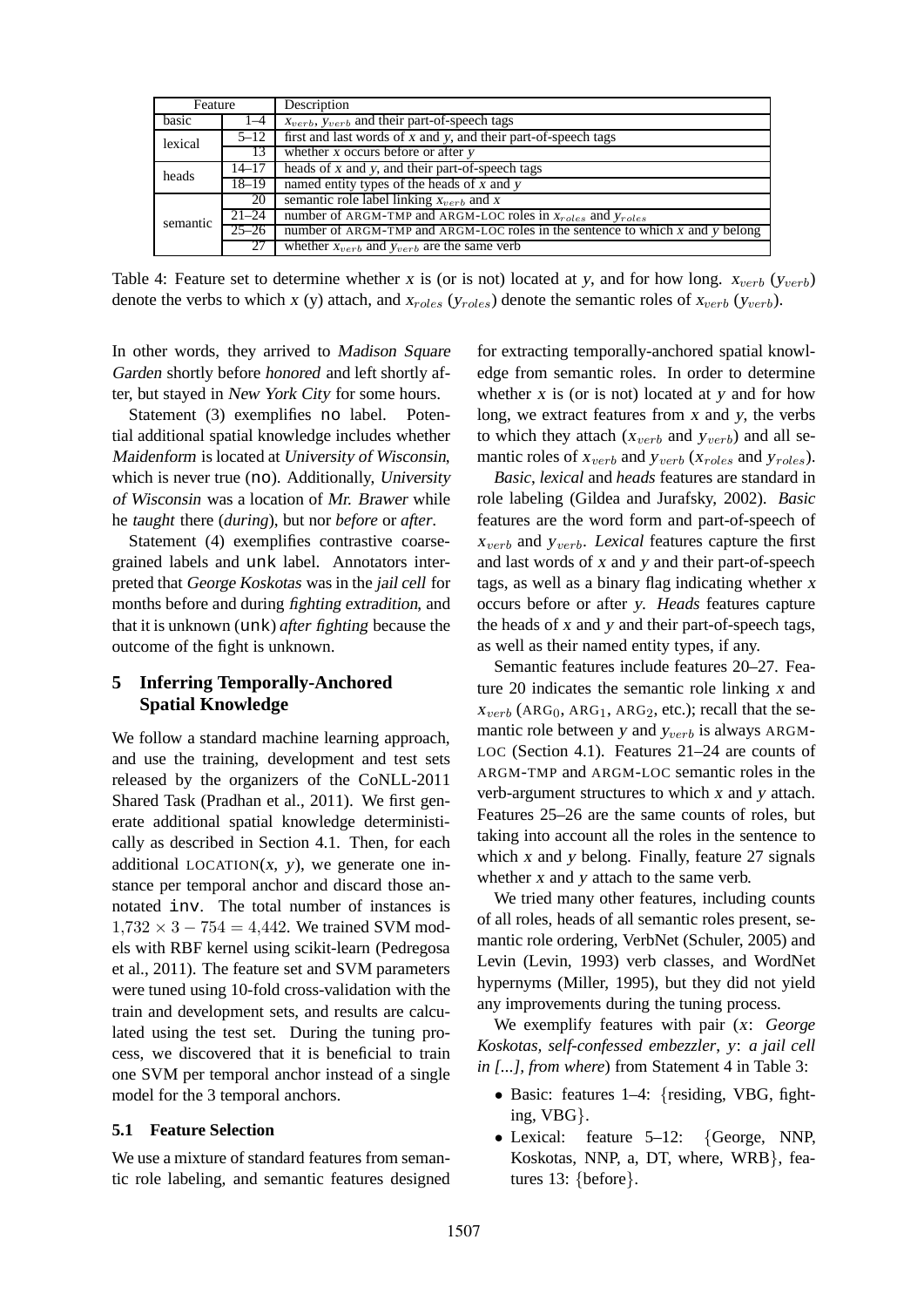| Feature  |           | Description                                                                   |
|----------|-----------|-------------------------------------------------------------------------------|
| basic    | $1 - 4$   | $x_{verb}$ , $y_{verb}$ and their part-of-speech tags                         |
| lexical  | $5 - 12$  | first and last words of x and y, and their part-of-speech tags                |
|          | 13        | whether $x$ occurs before or after $y$                                        |
| heads    | $14 - 17$ | heads of x and y, and their part-of-speech tags                               |
|          | $18 - 19$ | named entity types of the heads of $x$ and $y$                                |
|          | 20        | semantic role label linking $x_{verb}$ and x                                  |
| semantic | $21 - 24$ | number of ARGM-TMP and ARGM-LOC roles in $x_{roles}$ and $y_{roles}$          |
|          | $25 - 26$ | number of ARGM-TMP and ARGM-LOC roles in the sentence to which x and y belong |
|          | 27        | whether $x_{verb}$ and $y_{verb}$ are the same verb                           |

Table 4: Feature set to determine whether x is (or is not) located at y, and for how long.  $x_{verb}$  ( $y_{verb}$ ) denote the verbs to which x (y) attach, and  $x_{roles}$  ( $y_{roles}$ ) denote the semantic roles of  $x_{verb}$  ( $y_{verb}$ ).

In other words, they arrived to Madison Square Garden shortly before honored and left shortly after, but stayed in New York City for some hours.

Statement (3) exemplifies no label. Potential additional spatial knowledge includes whether Maidenform is located at University of Wisconsin, which is never true (no). Additionally, University of Wisconsin was a location of Mr. Brawer while he taught there (*during*), but nor *before* or *after*.

Statement (4) exemplifies contrastive coarsegrained labels and unk label. Annotators interpreted that George Koskotas was in the jail cell for months before and during fighting extradition, and that it is unknown (unk) *after* fighting because the outcome of the fight is unknown.

# **5 Inferring Temporally-Anchored Spatial Knowledge**

We follow a standard machine learning approach, and use the training, development and test sets released by the organizers of the CoNLL-2011 Shared Task (Pradhan et al., 2011). We first generate additional spatial knowledge deterministically as described in Section 4.1. Then, for each additional LOCATION $(x, y)$ , we generate one instance per temporal anchor and discard those annotated inv. The total number of instances is  $1,732 \times 3 - 754 = 4,442$ . We trained SVM models with RBF kernel using scikit-learn (Pedregosa et al., 2011). The feature set and SVM parameters were tuned using 10-fold cross-validation with the train and development sets, and results are calculated using the test set. During the tuning process, we discovered that it is beneficial to train one SVM per temporal anchor instead of a single model for the 3 temporal anchors.

#### **5.1 Feature Selection**

We use a mixture of standard features from semantic role labeling, and semantic features designed for extracting temporally-anchored spatial knowledge from semantic roles. In order to determine whether  $x$  is (or is not) located at  $y$  and for how long, we extract features from <sup>x</sup> and <sup>y</sup>, the verbs to which they attach ( $x_{verb}$  and  $y_{verb}$ ) and all semantic roles of  $x_{verb}$  and  $y_{verb}$  ( $x_{roles}$  and  $y_{roles}$ ).

*Basic*, *lexical* and *heads* features are standard in role labeling (Gildea and Jurafsky, 2002). *Basic* features are the word form and part-of-speech of  $x_{verb}$  and  $y_{verb}$ . *Lexical* features capture the first and last words of <sup>x</sup> and <sup>y</sup> and their part-of-speech tags, as well as a binary flag indicating whether <sup>x</sup> occurs before or after <sup>y</sup>. *Heads* features capture the heads of <sup>x</sup> and <sup>y</sup> and their part-of-speech tags, as well as their named entity types, if any.

Semantic features include features 20–27. Feature 20 indicates the semantic role linking <sup>x</sup> and  $x_{verb}$  (ARG<sub>0</sub>, ARG<sub>1</sub>, ARG<sub>2</sub>, etc.); recall that the semantic role between y and  $y_{verb}$  is always ARGM-LOC (Section 4.1). Features 21–24 are counts of ARGM-TMP and ARGM-LOC semantic roles in the verb-argument structures to which <sup>x</sup> and <sup>y</sup> attach. Features 25–26 are the same counts of roles, but taking into account all the roles in the sentence to which  $x$  and  $y$  belong. Finally, feature 27 signals whether x and y attach to the same verb.

We tried many other features, including counts of all roles, heads of all semantic roles present, semantic role ordering, VerbNet (Schuler, 2005) and Levin (Levin, 1993) verb classes, and WordNet hypernyms (Miller, 1995), but they did not yield any improvements during the tuning process.

We exemplify features with pair (x: *George Koskotas, self-confessed embezzler*, <sup>y</sup>: *a jail cell in [...], from where*) from Statement 4 in Table 3:

- Basic: features 1–4: {residing, VBG, fighting, VBG}.
- Lexical: feature 5–12: {George, NNP, Koskotas, NNP, a, DT, where, WRB}, features 13: {before}.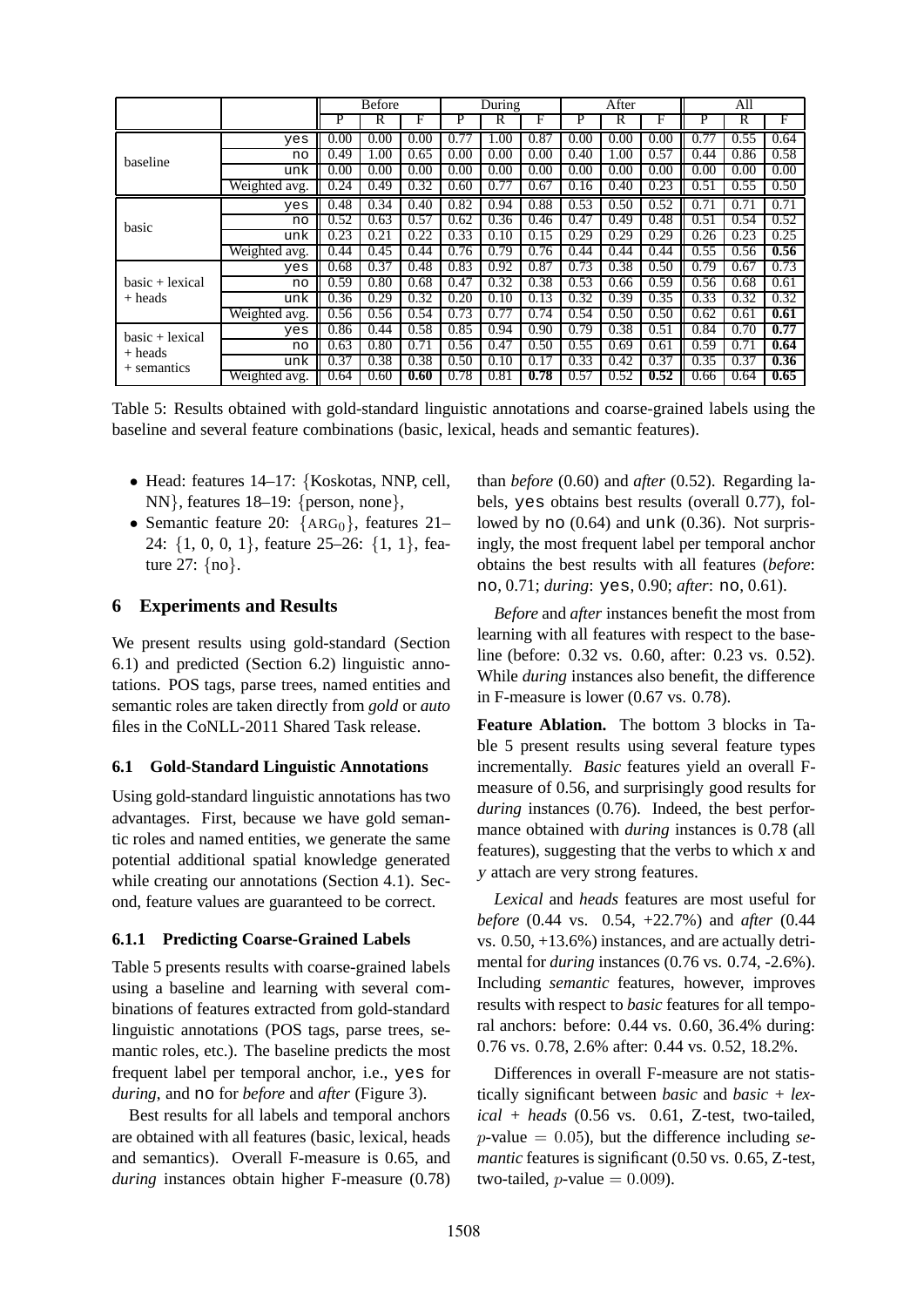|                                               |               |      |      | <b>Before</b> |      | During |      |      | After |      |      | All  |      |  |
|-----------------------------------------------|---------------|------|------|---------------|------|--------|------|------|-------|------|------|------|------|--|
|                                               |               | P    | R    | F             | P    | R      | F    | P    | R     | F    | P    | R    | F    |  |
|                                               | yes           | 0.00 | 0.00 | 0.00          | 0.77 | 1.00   | 0.87 | 0.00 | 0.00  | 0.00 | 0.77 | 0.55 | 0.64 |  |
| baseline                                      | no            | 0.49 | 1.00 | 0.65          | 0.00 | 0.00   | 0.00 | 0.40 | 1.00  | 0.57 | 0.44 | 0.86 | 0.58 |  |
|                                               | unk           | 0.00 | 0.00 | 0.00          | 0.00 | 0.00   | 0.00 | 0.00 | 0.00  | 0.00 | 0.00 | 0.00 | 0.00 |  |
|                                               | Weighted avg. | 0.24 | 0.49 | 0.32          | 0.60 | 0.77   | 0.67 | 0.16 | 0.40  | 0.23 | 0.51 | 0.55 | 0.50 |  |
|                                               | yes           | 0.48 | 0.34 | 0.40          | 0.82 | 0.94   | 0.88 | 0.53 | 0.50  | 0.52 | 0.71 | 0.71 | 0.71 |  |
| basic                                         | no            | 0.52 | 0.63 | 0.57          | 0.62 | 0.36   | 0.46 | 0.47 | 0.49  | 0.48 | 0.51 | 0.54 | 0.52 |  |
|                                               | unk           | 0.23 | 0.21 | 0.22          | 0.33 | 0.10   | 0.15 | 0.29 | 0.29  | 0.29 | 0.26 | 0.23 | 0.25 |  |
|                                               | Weighted avg. | 0.44 | 0.45 | 0.44          | 0.76 | 0.79   | 0.76 | 0.44 | 0.44  | 0.44 | 0.55 | 0.56 | 0.56 |  |
|                                               | yes           | 0.68 | 0.37 | 0.48          | 0.83 | 0.92   | 0.87 | 0.73 | 0.38  | 0.50 | 0.79 | 0.67 | 0.73 |  |
| $basic + lexical$                             | no            | 0.59 | 0.80 | 0.68          | 0.47 | 0.32   | 0.38 | 0.53 | 0.66  | 0.59 | 0.56 | 0.68 | 0.61 |  |
| $+$ heads                                     | unk           | 0.36 | 0.29 | 0.32          | 0.20 | 0.10   | 0.13 | 0.32 | 0.39  | 0.35 | 0.33 | 0.32 | 0.32 |  |
|                                               | Weighted avg. | 0.56 | 0.56 | 0.54          | 0.73 | 0.77   | 0.74 | 0.54 | 0.50  | 0.50 | 0.62 | 0.61 | 0.61 |  |
| $basic + lexical$<br>+ heads<br>$+$ semantics | yes           | 0.86 | 0.44 | 0.58          | 0.85 | 0.94   | 0.90 | 0.79 | 0.38  | 0.51 | 0.84 | 0.70 | 0.77 |  |
|                                               | no            | 0.63 | 0.80 | 0.71          | 0.56 | 0.47   | 0.50 | 0.55 | 0.69  | 0.61 | 0.59 | 0.71 | 0.64 |  |
|                                               | unk           | 0.37 | 0.38 | 0.38          | 0.50 | 0.10   | 0.17 | 0.33 | 0.42  | 0.37 | 0.35 | 0.37 | 0.36 |  |
|                                               | Weighted avg. | 0.64 | 0.60 | 0.60          | 0.78 | 0.81   | 0.78 | 0.57 | 0.52  | 0.52 | 0.66 | 0.64 | 0.65 |  |

Table 5: Results obtained with gold-standard linguistic annotations and coarse-grained labels using the baseline and several feature combinations (basic, lexical, heads and semantic features).

- Head: features 14–17: {Koskotas, NNP, cell, NN}, features 18–19: {person, none},
- Semantic feature 20:  ${ARG_0}$ , features 21– 24: {1, 0, 0, 1}, feature 25–26: {1, 1}, feature 27: {no}.

### **6 Experiments and Results**

We present results using gold-standard (Section 6.1) and predicted (Section 6.2) linguistic annotations. POS tags, parse trees, named entities and semantic roles are taken directly from *gold* or *auto* files in the CoNLL-2011 Shared Task release.

#### **6.1 Gold-Standard Linguistic Annotations**

Using gold-standard linguistic annotations has two advantages. First, because we have gold semantic roles and named entities, we generate the same potential additional spatial knowledge generated while creating our annotations (Section 4.1). Second, feature values are guaranteed to be correct.

#### **6.1.1 Predicting Coarse-Grained Labels**

Table 5 presents results with coarse-grained labels using a baseline and learning with several combinations of features extracted from gold-standard linguistic annotations (POS tags, parse trees, semantic roles, etc.). The baseline predicts the most frequent label per temporal anchor, i.e., yes for *during*, and no for *before* and *after* (Figure 3).

Best results for all labels and temporal anchors are obtained with all features (basic, lexical, heads and semantics). Overall F-measure is 0.65, and *during* instances obtain higher F-measure (0.78)

than *before* (0.60) and *after* (0.52). Regarding labels, yes obtains best results (overall 0.77), followed by no (0.64) and unk (0.36). Not surprisingly, the most frequent label per temporal anchor obtains the best results with all features (*before*: no, 0.71; *during*: yes, 0.90; *after*: no, 0.61).

*Before* and *after* instances benefit the most from learning with all features with respect to the baseline (before: 0.32 vs. 0.60, after: 0.23 vs. 0.52). While *during* instances also benefit, the difference in F-measure is lower (0.67 vs. 0.78).

**Feature Ablation.** The bottom 3 blocks in Table 5 present results using several feature types incrementally. *Basic* features yield an overall Fmeasure of 0.56, and surprisingly good results for *during* instances (0.76). Indeed, the best performance obtained with *during* instances is 0.78 (all features), suggesting that the verbs to which <sup>x</sup> and <sup>y</sup> attach are very strong features.

*Lexical* and *heads* features are most useful for *before* (0.44 vs. 0.54, +22.7%) and *after* (0.44 vs. 0.50, +13.6%) instances, and are actually detrimental for *during* instances (0.76 vs. 0.74, -2.6%). Including *semantic* features, however, improves results with respect to *basic* features for all temporal anchors: before: 0.44 vs. 0.60, 36.4% during: 0.76 vs. 0.78, 2.6% after: 0.44 vs. 0.52, 18.2%.

Differences in overall F-measure are not statistically significant between *basic* and *basic + lexical + heads* (0.56 vs. 0.61, Z-test, two-tailed, p-value = 0.05), but the difference including *semantic* features is significant (0.50 vs. 0.65, Z-test, two-tailed,  $p$ -value = 0.009).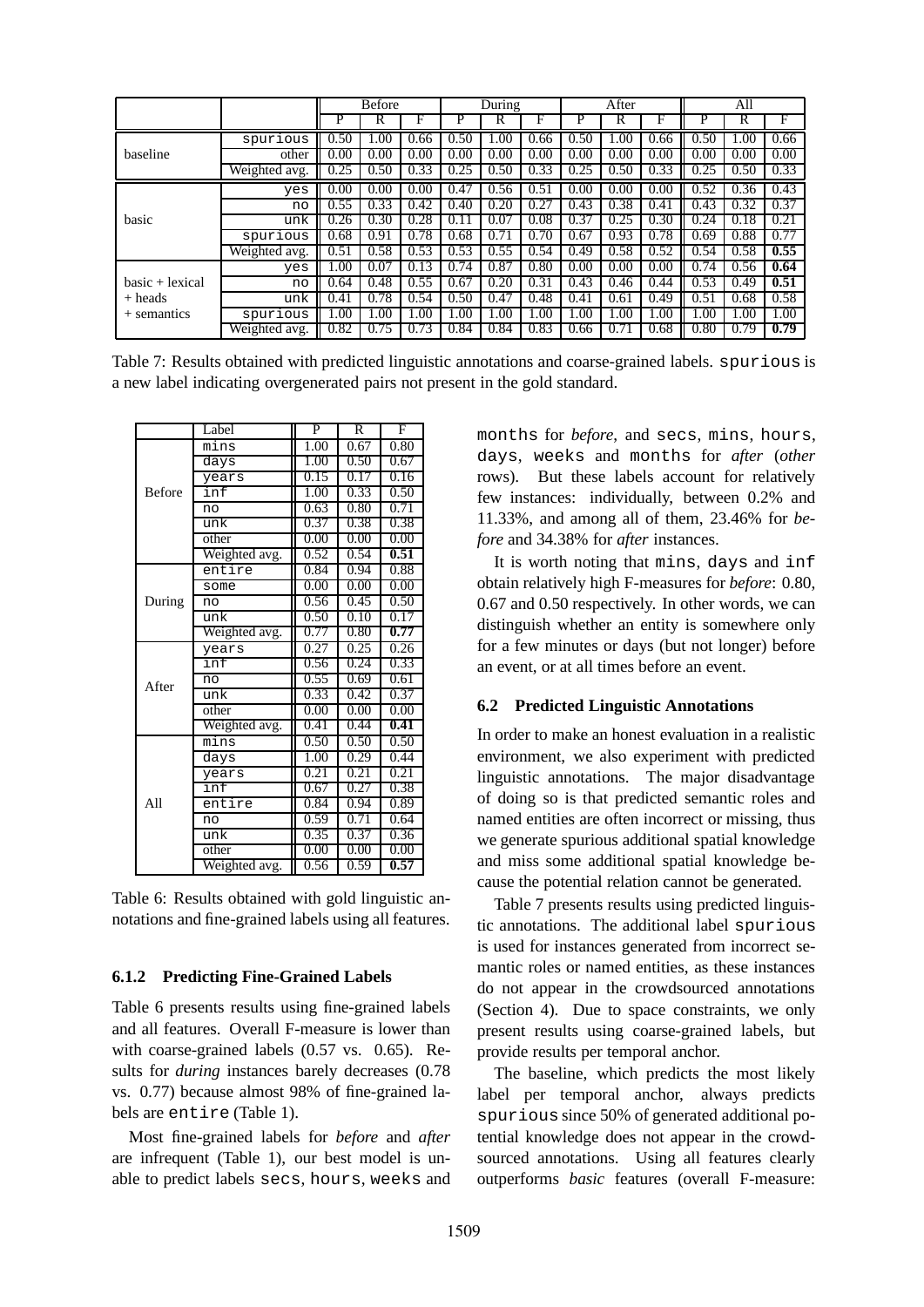|                   |               |      | <b>Before</b> |      |      | During |      |      | After |      |      | All  |      |
|-------------------|---------------|------|---------------|------|------|--------|------|------|-------|------|------|------|------|
|                   |               | P    | R             | F    | P    | R      | F    | P    | R     | F    | P    | R    | F    |
|                   | spurious      | 0.50 | 1.00          | 0.66 | 0.50 | 1.00   | 0.66 | 0.50 | 1.00  | 0.66 | 0.50 | 1.00 | 0.66 |
| baseline          | other         | 0.00 | 0.00          | 0.00 | 0.00 | 0.00   | 0.00 | 0.00 | 0.00  | 0.00 | 0.00 | 0.00 | 0.00 |
|                   | Weighted avg. | 0.25 | 0.50          | 0.33 | 0.25 | 0.50   | 0.33 | 0.25 | 0.50  | 0.33 | 0.25 | 0.50 | 0.33 |
|                   | yes           | 0.00 | 0.00          | 0.00 | 0.47 | 0.56   | 0.51 | 0.00 | 0.00  | 0.00 | 0.52 | 0.36 | 0.43 |
|                   | no            | 0.55 | 0.33          | 0.42 | 0.40 | 0.20   | 0.27 | 0.43 | 0.38  | 0.41 | 0.43 | 0.32 | 0.37 |
| basic             | unk           | 0.26 | 0.30          | 0.28 | 0.11 | 0.07   | 0.08 | 0.37 | 0.25  | 0.30 | 0.24 | 0.18 | 0.21 |
|                   | spurious      | 0.68 | 0.91          | 0.78 | 0.68 | 0.71   | 0.70 | 0.67 | 0.93  | 0.78 | 0.69 | 0.88 | 0.77 |
|                   | Weighted avg. | 0.51 | 0.58          | 0.53 | 0.53 | 0.55   | 0.54 | 0.49 | 0.58  | 0.52 | 0.54 | 0.58 | 0.55 |
|                   | yes           | 1.00 | 0.07          | 0.13 | 0.74 | 0.87   | 0.80 | 0.00 | 0.00  | 0.00 | 0.74 | 0.56 | 0.64 |
| $basic + lexical$ | no            | 0.64 | 0.48          | 0.55 | 0.67 | 0.20   | 0.31 | 0.43 | 0.46  | 0.44 | 0.53 | 0.49 | 0.51 |
| $+$ heads         | unk           | 0.41 | 0.78          | 0.54 | 0.50 | 0.47   | 0.48 | 0.41 | 0.61  | 0.49 | 0.51 | 0.68 | 0.58 |
| $+$ semantics     | spurious      | 1.00 | 1.00          | 1.00 | .00  | 1.00   | 1.00 | 1.00 | 1.00  | 1.00 | 1.00 | 1.00 | 1.00 |
|                   | Weighted avg. | 0.82 | 0.75          | 0.73 | 0.84 | 0.84   | 0.83 | 0.66 | 0.71  | 0.68 | 0.80 | 0.79 | 0.79 |

Table 7: Results obtained with predicted linguistic annotations and coarse-grained labels. spurious is a new label indicating overgenerated pairs not present in the gold standard.

|                 | Label         | $\overline{P}$ | R    | F    |
|-----------------|---------------|----------------|------|------|
|                 | mins          | 1.00           | 0.67 | 0.80 |
|                 | days          | 1.00           | 0.50 | 0.67 |
|                 | years         | 0.15           | 0.17 | 0.16 |
| <b>Before</b>   | inf           | 1.00           | 0.33 | 0.50 |
|                 | no            | 0.63           | 0.80 | 0.71 |
|                 | unk           | 0.37           | 0.38 | 0.38 |
|                 | other         | 0.00           | 0.00 | 0.00 |
|                 | Weighted avg. | 0.52           | 0.54 | 0.51 |
|                 | entire        | 0.84           | 0.94 | 0.88 |
|                 | some          | 0.00           | 0.00 | 0.00 |
| During          | no            | 0.56           | 0.45 | 0.50 |
|                 | unk           | 0.50           | 0.10 | 0.17 |
|                 | Weighted avg. | 0.77           | 0.80 | 0.77 |
|                 | years         | 0.27           | 0.25 | 0.26 |
|                 | inf           | 0.56           | 0.24 | 0.33 |
| After           | no            | 0.55           | 0.69 | 0.61 |
|                 | unk           | 0.33           | 0.42 | 0.37 |
|                 | other         | 0.00           | 0.00 | 0.00 |
|                 | Weighted avg. | 0.41           | 0.44 | 0.41 |
|                 | mins          | 0.50           | 0.50 | 0.50 |
|                 | days          | 1.00           | 0.29 | 0.44 |
|                 | years         | 0.21           | 0.21 | 0.21 |
|                 | inf           | 0.67           | 0.27 | 0.38 |
| A <sub>11</sub> | entire        | 0.84           | 0.94 | 0.89 |
|                 | no            | 0.59           | 0.71 | 0.64 |
|                 | unk           | 0.35           | 0.37 | 0.36 |
|                 | other         | 0.00           | 0.00 | 0.00 |
|                 | Weighted avg. | 0.56           | 0.59 | 0.57 |

Table 6: Results obtained with gold linguistic annotations and fine-grained labels using all features.

#### **6.1.2 Predicting Fine-Grained Labels**

Table 6 presents results using fine-grained labels and all features. Overall F-measure is lower than with coarse-grained labels (0.57 vs. 0.65). Results for *during* instances barely decreases (0.78 vs. 0.77) because almost 98% of fine-grained labels are entire (Table 1).

Most fine-grained labels for *before* and *after* are infrequent (Table 1), our best model is unable to predict labels secs, hours, weeks and

months for *before*, and secs, mins, hours, days, weeks and months for *after* (*other* rows). But these labels account for relatively few instances: individually, between 0.2% and 11.33%, and among all of them, 23.46% for *before* and 34.38% for *after* instances.

It is worth noting that mins, days and inf obtain relatively high F-measures for *before*: 0.80, 0.67 and 0.50 respectively. In other words, we can distinguish whether an entity is somewhere only for a few minutes or days (but not longer) before an event, or at all times before an event.

### **6.2 Predicted Linguistic Annotations**

In order to make an honest evaluation in a realistic environment, we also experiment with predicted linguistic annotations. The major disadvantage of doing so is that predicted semantic roles and named entities are often incorrect or missing, thus we generate spurious additional spatial knowledge and miss some additional spatial knowledge because the potential relation cannot be generated.

Table 7 presents results using predicted linguistic annotations. The additional label spurious is used for instances generated from incorrect semantic roles or named entities, as these instances do not appear in the crowdsourced annotations (Section 4). Due to space constraints, we only present results using coarse-grained labels, but provide results per temporal anchor.

The baseline, which predicts the most likely label per temporal anchor, always predicts spurious since 50% of generated additional potential knowledge does not appear in the crowdsourced annotations. Using all features clearly outperforms *basic* features (overall F-measure: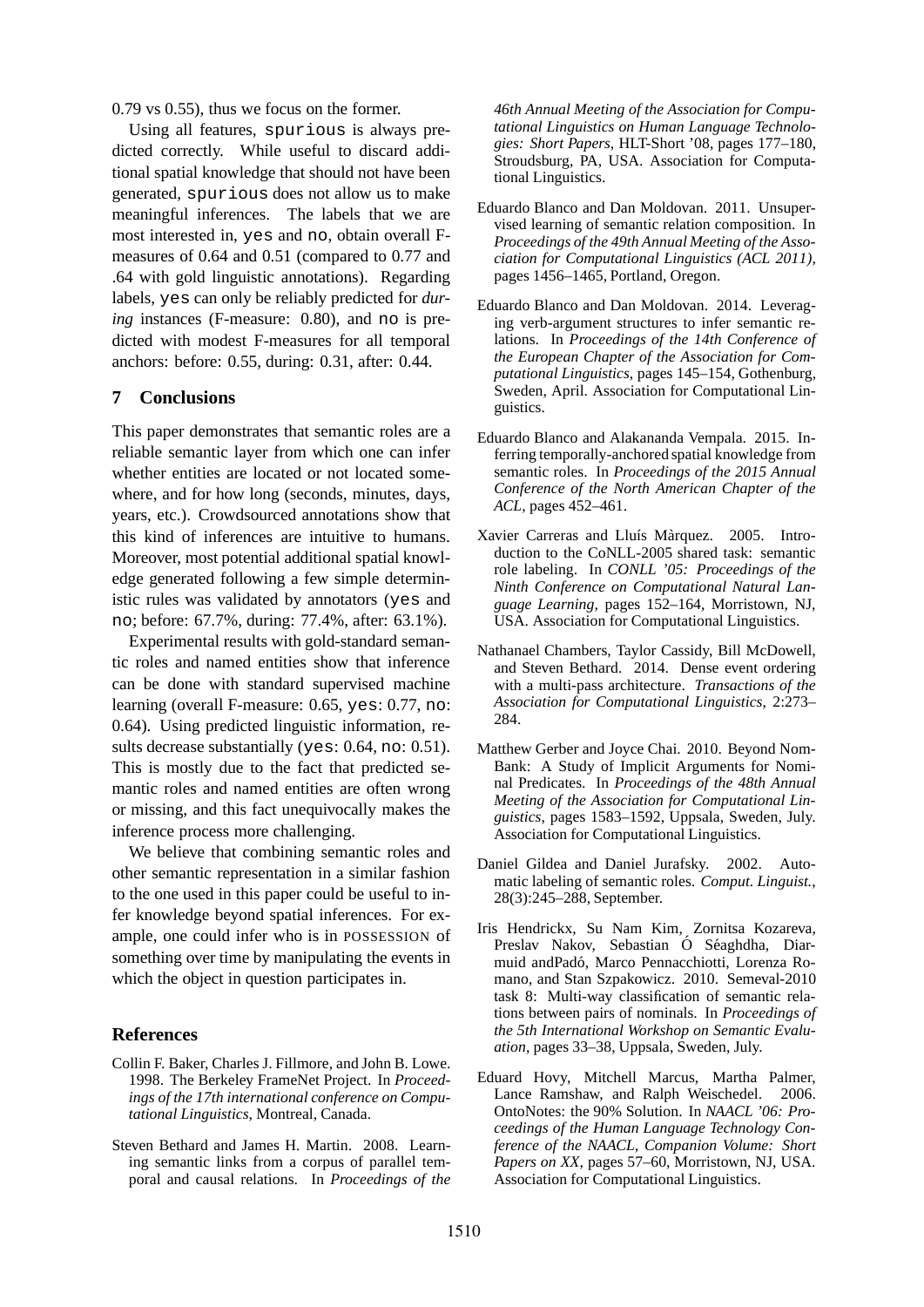0.79 vs 0.55), thus we focus on the former.

Using all features, spurious is always predicted correctly. While useful to discard additional spatial knowledge that should not have been generated, spurious does not allow us to make meaningful inferences. The labels that we are most interested in, yes and no, obtain overall Fmeasures of 0.64 and 0.51 (compared to 0.77 and .64 with gold linguistic annotations). Regarding labels, yes can only be reliably predicted for *during* instances (F-measure: 0.80), and no is predicted with modest F-measures for all temporal anchors: before: 0.55, during: 0.31, after: 0.44.

# **7 Conclusions**

This paper demonstrates that semantic roles are a reliable semantic layer from which one can infer whether entities are located or not located somewhere, and for how long (seconds, minutes, days, years, etc.). Crowdsourced annotations show that this kind of inferences are intuitive to humans. Moreover, most potential additional spatial knowledge generated following a few simple deterministic rules was validated by annotators (yes and no; before: 67.7%, during: 77.4%, after: 63.1%).

Experimental results with gold-standard semantic roles and named entities show that inference can be done with standard supervised machine learning (overall F-measure: 0.65, yes: 0.77, no: 0.64). Using predicted linguistic information, results decrease substantially (yes: 0.64, no: 0.51). This is mostly due to the fact that predicted semantic roles and named entities are often wrong or missing, and this fact unequivocally makes the inference process more challenging.

We believe that combining semantic roles and other semantic representation in a similar fashion to the one used in this paper could be useful to infer knowledge beyond spatial inferences. For example, one could infer who is in POSSESSION of something over time by manipulating the events in which the object in question participates in.

#### **References**

- Collin F. Baker, Charles J. Fillmore, and John B. Lowe. 1998. The Berkeley FrameNet Project. In *Proceedings of the 17th international conference on Computational Linguistics*, Montreal, Canada.
- Steven Bethard and James H. Martin. 2008. Learning semantic links from a corpus of parallel temporal and causal relations. In *Proceedings of the*

*46th Annual Meeting of the Association for Computational Linguistics on Human Language Technologies: Short Papers*, HLT-Short '08, pages 177–180, Stroudsburg, PA, USA. Association for Computational Linguistics.

- Eduardo Blanco and Dan Moldovan. 2011. Unsupervised learning of semantic relation composition. In *Proceedings of the 49th Annual Meeting of the Association for Computational Linguistics (ACL 2011)*, pages 1456–1465, Portland, Oregon.
- Eduardo Blanco and Dan Moldovan. 2014. Leveraging verb-argument structures to infer semantic relations. In *Proceedings of the 14th Conference of the European Chapter of the Association for Computational Linguistics*, pages 145–154, Gothenburg, Sweden, April. Association for Computational Linguistics.
- Eduardo Blanco and Alakananda Vempala. 2015. Inferring temporally-anchored spatial knowledge from semantic roles. In *Proceedings of the 2015 Annual Conference of the North American Chapter of the ACL*, pages 452–461.
- Xavier Carreras and Lluís Màrquez. 2005. Introduction to the CoNLL-2005 shared task: semantic role labeling. In *CONLL '05: Proceedings of the Ninth Conference on Computational Natural Language Learning*, pages 152–164, Morristown, NJ, USA. Association for Computational Linguistics.
- Nathanael Chambers, Taylor Cassidy, Bill McDowell, and Steven Bethard. 2014. Dense event ordering with a multi-pass architecture. *Transactions of the Association for Computational Linguistics*, 2:273– 284.
- Matthew Gerber and Joyce Chai. 2010. Beyond Nom-Bank: A Study of Implicit Arguments for Nominal Predicates. In *Proceedings of the 48th Annual Meeting of the Association for Computational Linguistics*, pages 1583–1592, Uppsala, Sweden, July. Association for Computational Linguistics.
- Daniel Gildea and Daniel Jurafsky. 2002. Automatic labeling of semantic roles. *Comput. Linguist.*, 28(3):245–288, September.
- Iris Hendrickx, Su Nam Kim, Zornitsa Kozareva, Preslav Nakov, Sebastian Ó Séaghdha, Diarmuid andPadó, Marco Pennacchiotti, Lorenza Romano, and Stan Szpakowicz. 2010. Semeval-2010 task 8: Multi-way classification of semantic relations between pairs of nominals. In *Proceedings of the 5th International Workshop on Semantic Evaluation*, pages 33–38, Uppsala, Sweden, July.
- Eduard Hovy, Mitchell Marcus, Martha Palmer, Lance Ramshaw, and Ralph Weischedel. 2006. OntoNotes: the 90% Solution. In *NAACL '06: Proceedings of the Human Language Technology Conference of the NAACL, Companion Volume: Short Papers on XX*, pages 57–60, Morristown, NJ, USA. Association for Computational Linguistics.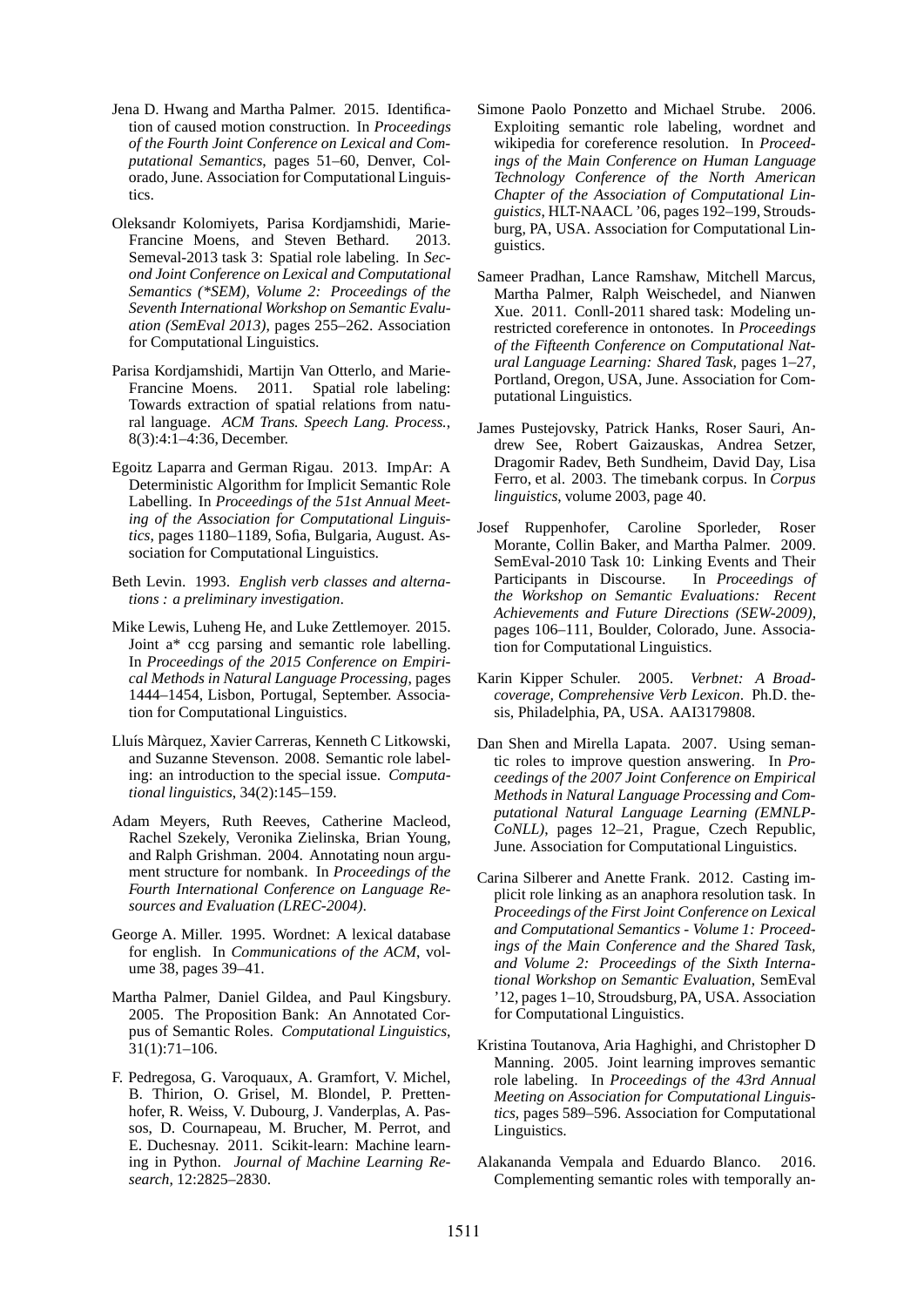- Jena D. Hwang and Martha Palmer. 2015. Identification of caused motion construction. In *Proceedings of the Fourth Joint Conference on Lexical and Computational Semantics*, pages 51–60, Denver, Colorado, June. Association for Computational Linguistics.
- Oleksandr Kolomiyets, Parisa Kordjamshidi, Marie-Francine Moens, and Steven Bethard. 2013. Semeval-2013 task 3: Spatial role labeling. In *Second Joint Conference on Lexical and Computational Semantics (\*SEM), Volume 2: Proceedings of the Seventh International Workshop on Semantic Evaluation (SemEval 2013)*, pages 255–262. Association for Computational Linguistics.
- Parisa Kordjamshidi, Martijn Van Otterlo, and Marie-Francine Moens. 2011. Spatial role labeling: Towards extraction of spatial relations from natural language. *ACM Trans. Speech Lang. Process.*, 8(3):4:1–4:36, December.
- Egoitz Laparra and German Rigau. 2013. ImpAr: A Deterministic Algorithm for Implicit Semantic Role Labelling. In *Proceedings of the 51st Annual Meeting of the Association for Computational Linguistics*, pages 1180–1189, Sofia, Bulgaria, August. Association for Computational Linguistics.
- Beth Levin. 1993. *English verb classes and alternations : a preliminary investigation*.
- Mike Lewis, Luheng He, and Luke Zettlemoyer. 2015. Joint a\* ccg parsing and semantic role labelling. In *Proceedings of the 2015 Conference on Empirical Methods in Natural Language Processing*, pages 1444–1454, Lisbon, Portugal, September. Association for Computational Linguistics.
- Lluís Màrquez, Xavier Carreras, Kenneth C Litkowski, and Suzanne Stevenson. 2008. Semantic role labeling: an introduction to the special issue. *Computational linguistics*, 34(2):145–159.
- Adam Meyers, Ruth Reeves, Catherine Macleod, Rachel Szekely, Veronika Zielinska, Brian Young, and Ralph Grishman. 2004. Annotating noun argument structure for nombank. In *Proceedings of the Fourth International Conference on Language Resources and Evaluation (LREC-2004)*.
- George A. Miller. 1995. Wordnet: A lexical database for english. In *Communications of the ACM*, volume 38, pages 39–41.
- Martha Palmer, Daniel Gildea, and Paul Kingsbury. 2005. The Proposition Bank: An Annotated Corpus of Semantic Roles. *Computational Linguistics*, 31(1):71–106.
- F. Pedregosa, G. Varoquaux, A. Gramfort, V. Michel, B. Thirion, O. Grisel, M. Blondel, P. Prettenhofer, R. Weiss, V. Dubourg, J. Vanderplas, A. Passos, D. Cournapeau, M. Brucher, M. Perrot, and E. Duchesnay. 2011. Scikit-learn: Machine learning in Python. *Journal of Machine Learning Research*, 12:2825–2830.
- Simone Paolo Ponzetto and Michael Strube. 2006. Exploiting semantic role labeling, wordnet and wikipedia for coreference resolution. In *Proceedings of the Main Conference on Human Language Technology Conference of the North American Chapter of the Association of Computational Linguistics*, HLT-NAACL '06, pages 192–199, Stroudsburg, PA, USA. Association for Computational Linguistics.
- Sameer Pradhan, Lance Ramshaw, Mitchell Marcus, Martha Palmer, Ralph Weischedel, and Nianwen Xue. 2011. Conll-2011 shared task: Modeling unrestricted coreference in ontonotes. In *Proceedings of the Fifteenth Conference on Computational Natural Language Learning: Shared Task*, pages 1–27, Portland, Oregon, USA, June. Association for Computational Linguistics.
- James Pustejovsky, Patrick Hanks, Roser Sauri, Andrew See, Robert Gaizauskas, Andrea Setzer, Dragomir Radev, Beth Sundheim, David Day, Lisa Ferro, et al. 2003. The timebank corpus. In *Corpus linguistics*, volume 2003, page 40.
- Josef Ruppenhofer, Caroline Sporleder, Roser Morante, Collin Baker, and Martha Palmer. 2009. SemEval-2010 Task 10: Linking Events and Their Participants in Discourse. In *Proceedings of the Workshop on Semantic Evaluations: Recent Achievements and Future Directions (SEW-2009)*, pages 106–111, Boulder, Colorado, June. Association for Computational Linguistics.
- Karin Kipper Schuler. 2005. *Verbnet: A Broadcoverage, Comprehensive Verb Lexicon*. Ph.D. thesis, Philadelphia, PA, USA. AAI3179808.
- Dan Shen and Mirella Lapata. 2007. Using semantic roles to improve question answering. In *Proceedings of the 2007 Joint Conference on Empirical Methods in Natural Language Processing and Computational Natural Language Learning (EMNLP-CoNLL)*, pages 12–21, Prague, Czech Republic, June. Association for Computational Linguistics.
- Carina Silberer and Anette Frank. 2012. Casting implicit role linking as an anaphora resolution task. In *Proceedings of the First Joint Conference on Lexical and Computational Semantics - Volume 1: Proceedings of the Main Conference and the Shared Task, and Volume 2: Proceedings of the Sixth International Workshop on Semantic Evaluation*, SemEval '12, pages 1–10, Stroudsburg, PA, USA. Association for Computational Linguistics.
- Kristina Toutanova, Aria Haghighi, and Christopher D Manning. 2005. Joint learning improves semantic role labeling. In *Proceedings of the 43rd Annual Meeting on Association for Computational Linguistics*, pages 589–596. Association for Computational Linguistics.
- Alakananda Vempala and Eduardo Blanco. 2016. Complementing semantic roles with temporally an-